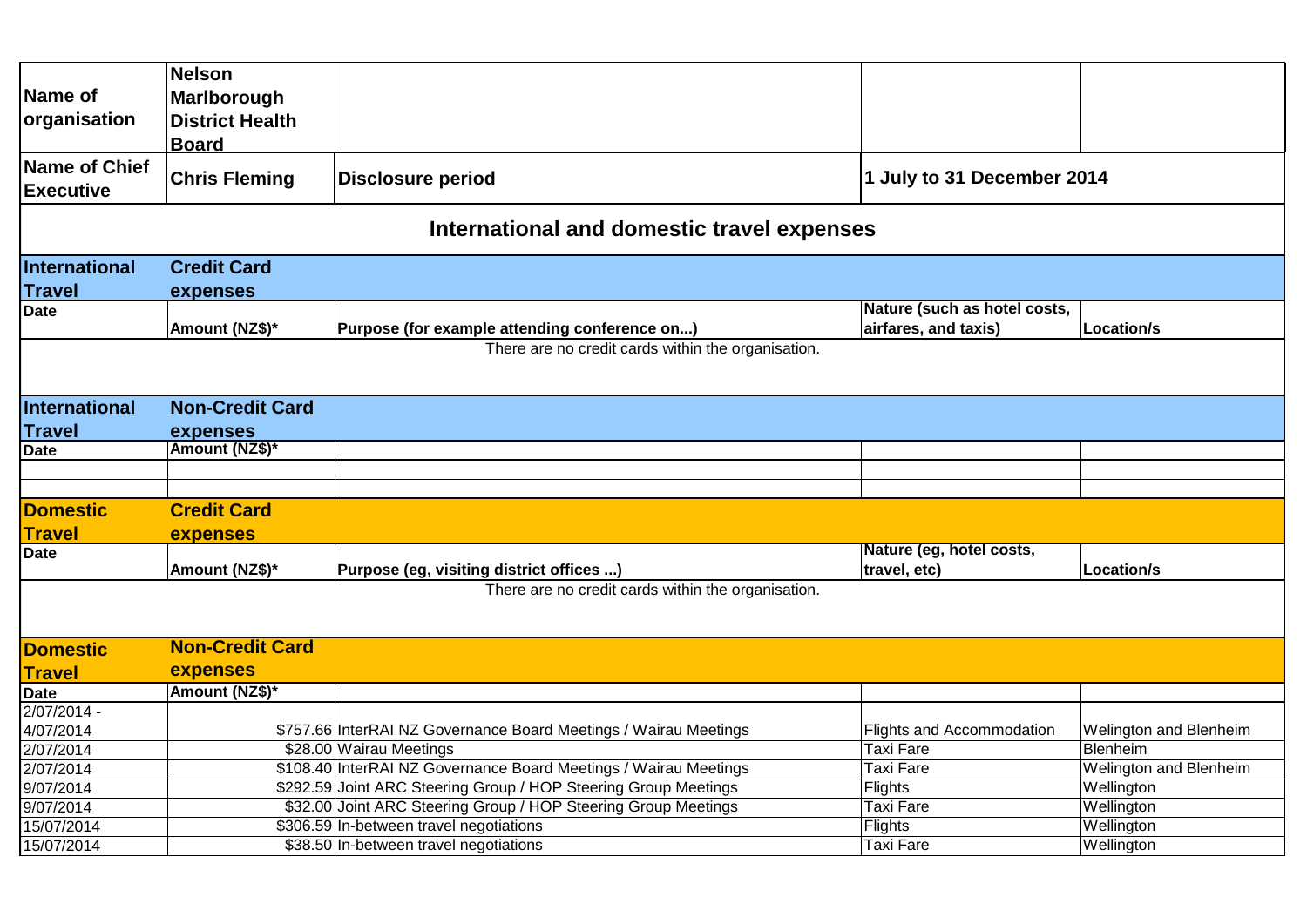|                                   | <b>Nelson</b>                                                                                    |                                                                  |                                          |                        |  |  |
|-----------------------------------|--------------------------------------------------------------------------------------------------|------------------------------------------------------------------|------------------------------------------|------------------------|--|--|
| Name of                           | Marlborough                                                                                      |                                                                  |                                          |                        |  |  |
| organisation                      | <b>District Health</b>                                                                           |                                                                  |                                          |                        |  |  |
|                                   | <b>Board</b>                                                                                     |                                                                  |                                          |                        |  |  |
| Name of Chief<br><b>Executive</b> | 1 July to 31 December 2014<br><b>Chris Fleming</b><br><b>Disclosure period</b>                   |                                                                  |                                          |                        |  |  |
|                                   |                                                                                                  | International and domestic travel expenses                       |                                          |                        |  |  |
| International                     | <b>Credit Card</b>                                                                               |                                                                  |                                          |                        |  |  |
| <b>Travel</b>                     | expenses                                                                                         |                                                                  |                                          |                        |  |  |
| Date                              |                                                                                                  |                                                                  | Nature (such as hotel costs,             |                        |  |  |
|                                   | Amount (NZ\$)*                                                                                   | Purpose (for example attending conference on)                    | airfares, and taxis)                     | Location/s             |  |  |
|                                   |                                                                                                  | There are no credit cards within the organisation.               |                                          |                        |  |  |
| International                     | <b>Non-Credit Card</b>                                                                           |                                                                  |                                          |                        |  |  |
| <b>Travel</b>                     | expenses                                                                                         |                                                                  |                                          |                        |  |  |
| Date                              | Amount (NZ\$)*                                                                                   |                                                                  |                                          |                        |  |  |
|                                   |                                                                                                  |                                                                  |                                          |                        |  |  |
|                                   |                                                                                                  |                                                                  |                                          |                        |  |  |
| <b>Domestic</b>                   | <b>Credit Card</b>                                                                               |                                                                  |                                          |                        |  |  |
| <b>Travel</b>                     | expenses                                                                                         |                                                                  |                                          |                        |  |  |
| Date                              | Amount (NZ\$)*                                                                                   | Purpose (eg, visiting district offices )                         | Nature (eg, hotel costs,<br>travel, etc) | Location/s             |  |  |
|                                   |                                                                                                  | There are no credit cards within the organisation.               |                                          |                        |  |  |
|                                   |                                                                                                  |                                                                  |                                          |                        |  |  |
| <b>Domestic</b>                   | <b>Non-Credit Card</b>                                                                           |                                                                  |                                          |                        |  |  |
| <b>Travel</b>                     | expenses                                                                                         |                                                                  |                                          |                        |  |  |
| <b>Date</b>                       | Amount (NZ\$)*                                                                                   |                                                                  |                                          |                        |  |  |
| 2/07/2014 -                       |                                                                                                  |                                                                  |                                          |                        |  |  |
| 4/07/2014                         |                                                                                                  | \$757.66 InterRAI NZ Governance Board Meetings / Wairau Meetings | Flights and Accommodation                | Welington and Blenheim |  |  |
| 2/07/2014                         |                                                                                                  | \$28.00 Wairau Meetings                                          | <b>Taxi Fare</b>                         | Blenheim               |  |  |
| 2/07/2014                         |                                                                                                  | \$108.40 InterRAI NZ Governance Board Meetings / Wairau Meetings | <b>Taxi Fare</b>                         | Welington and Blenheim |  |  |
| 9/07/2014                         |                                                                                                  | \$292.59 Joint ARC Steering Group / HOP Steering Group Meetings  | Flights                                  | Wellington             |  |  |
| 9/07/2014                         | \$32.00 Joint ARC Steering Group / HOP Steering Group Meetings<br><b>Taxi Fare</b><br>Wellington |                                                                  |                                          |                        |  |  |
| 15/07/2014                        | \$306.59 In-between travel negotiations<br>Flights<br>Wellington                                 |                                                                  |                                          |                        |  |  |
| 15/07/2014                        |                                                                                                  | \$38.50 In-between travel negotiations                           | <b>Taxi Fare</b>                         | Wellington             |  |  |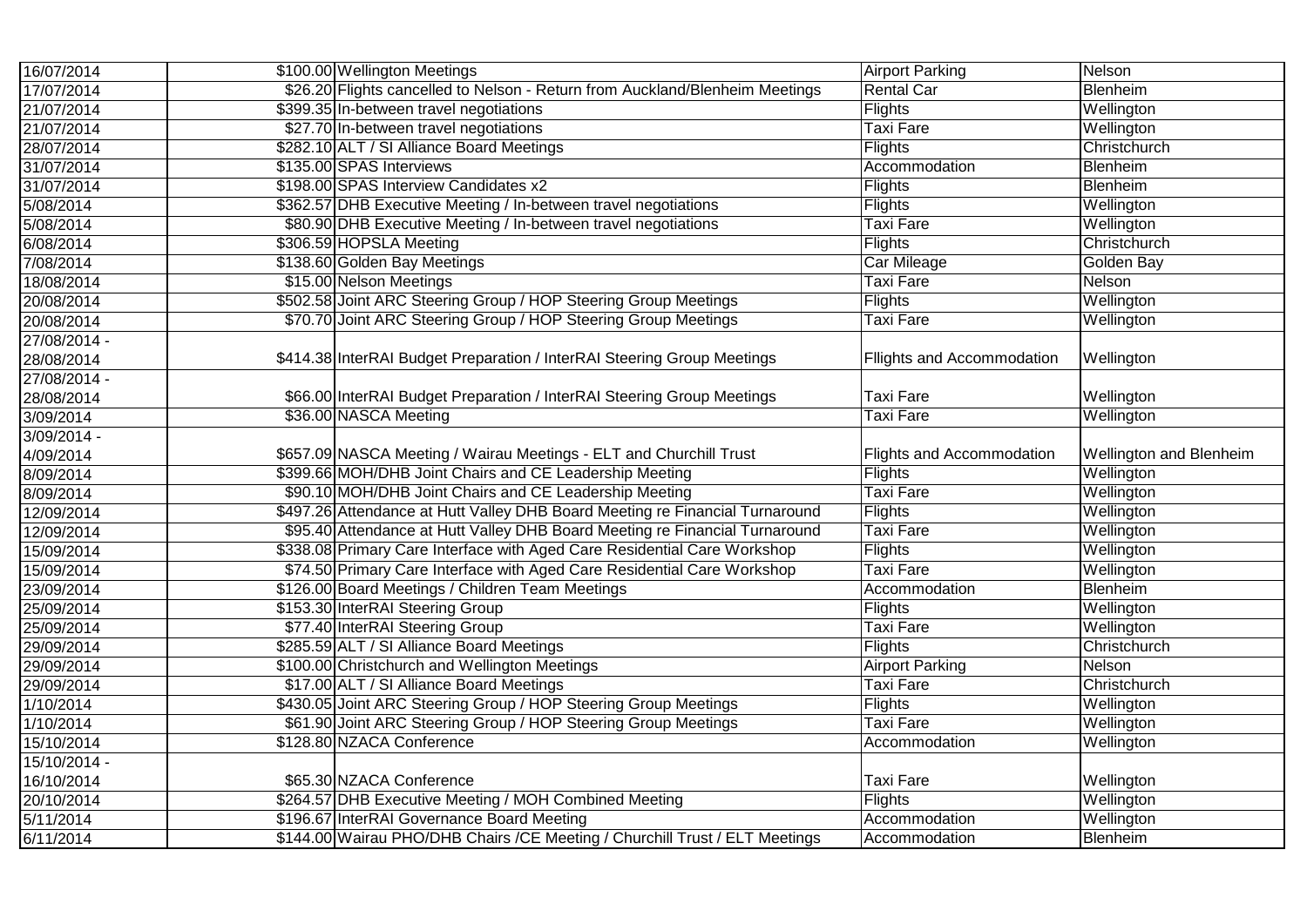| 16/07/2014   | \$100.00 Wellington Meetings                                                 | <b>Airport Parking</b>           | Nelson                  |
|--------------|------------------------------------------------------------------------------|----------------------------------|-------------------------|
| 17/07/2014   | \$26.20 Flights cancelled to Nelson - Return from Auckland/Blenheim Meetings | <b>Rental Car</b>                | Blenheim                |
| 21/07/2014   | \$399.35 In-between travel negotiations                                      | Flights                          | Wellington              |
| 21/07/2014   | \$27.70 In-between travel negotiations                                       | <b>Taxi Fare</b>                 | Wellington              |
| 28/07/2014   | \$282.10 ALT / SI Alliance Board Meetings                                    | Flights                          | Christchurch            |
| 31/07/2014   | \$135.00 SPAS Interviews                                                     | Accommodation                    | Blenheim                |
| 31/07/2014   | \$198.00 SPAS Interview Candidates x2                                        | Flights                          | Blenheim                |
| 5/08/2014    | \$362.57 DHB Executive Meeting / In-between travel negotiations              | Flights                          | Wellington              |
| 5/08/2014    | \$80.90 DHB Executive Meeting / In-between travel negotiations               | Taxi Fare                        | Wellington              |
| 6/08/2014    | \$306.59 HOPSLA Meeting                                                      | Flights                          | Christchurch            |
| 7/08/2014    | \$138.60 Golden Bay Meetings                                                 | Car Mileage                      | Golden Bay              |
| 18/08/2014   | \$15.00 Nelson Meetings                                                      | <b>Taxi Fare</b>                 | Nelson                  |
| 20/08/2014   | \$502.58 Joint ARC Steering Group / HOP Steering Group Meetings              | Flights                          | Wellington              |
| 20/08/2014   | \$70.70 Joint ARC Steering Group / HOP Steering Group Meetings               | Taxi Fare                        | Wellington              |
| 27/08/2014 - |                                                                              |                                  |                         |
| 28/08/2014   | \$414.38 InterRAI Budget Preparation / InterRAI Steering Group Meetings      | Fllights and Accommodation       | Wellington              |
| 27/08/2014 - |                                                                              |                                  |                         |
| 28/08/2014   | \$66.00 InterRAI Budget Preparation / InterRAI Steering Group Meetings       | Taxi Fare                        | Wellington              |
| 3/09/2014    | \$36.00 NASCA Meeting                                                        | <b>Taxi Fare</b>                 | Wellington              |
| 3/09/2014 -  |                                                                              |                                  |                         |
| 4/09/2014    | \$657.09 NASCA Meeting / Wairau Meetings - ELT and Churchill Trust           | <b>Flights and Accommodation</b> | Wellington and Blenheim |
| 8/09/2014    | \$399.66 MOH/DHB Joint Chairs and CE Leadership Meeting                      | Flights                          | Wellington              |
| 8/09/2014    | \$90.10 MOH/DHB Joint Chairs and CE Leadership Meeting                       | <b>Taxi Fare</b>                 | Wellington              |
| 12/09/2014   | \$497.26 Attendance at Hutt Valley DHB Board Meeting re Financial Turnaround | Flights                          | Wellington              |
| 12/09/2014   | \$95.40 Attendance at Hutt Valley DHB Board Meeting re Financial Turnaround  | <b>Taxi Fare</b>                 | Wellington              |
| 15/09/2014   | \$338.08 Primary Care Interface with Aged Care Residential Care Workshop     | Flights                          | Wellington              |
| 15/09/2014   | \$74.50 Primary Care Interface with Aged Care Residential Care Workshop      | <b>Taxi Fare</b>                 | Wellington              |
| 23/09/2014   | \$126.00 Board Meetings / Children Team Meetings                             | Accommodation                    | Blenheim                |
| 25/09/2014   | \$153.30 InterRAI Steering Group                                             | Flights                          | Wellington              |
| 25/09/2014   | \$77.40 InterRAI Steering Group                                              | <b>Taxi Fare</b>                 | Wellington              |
| 29/09/2014   | \$285.59 ALT / SI Alliance Board Meetings                                    | Flights                          | Christchurch            |
| 29/09/2014   | \$100.00 Christchurch and Wellington Meetings                                | <b>Airport Parking</b>           | Nelson                  |
| 29/09/2014   | \$17.00 ALT / SI Alliance Board Meetings                                     | <b>Taxi Fare</b>                 | Christchurch            |
| 1/10/2014    | \$430.05 Joint ARC Steering Group / HOP Steering Group Meetings              | Flights                          | Wellington              |
| 1/10/2014    | \$61.90 Joint ARC Steering Group / HOP Steering Group Meetings               | <b>Taxi Fare</b>                 | Wellington              |
| 15/10/2014   | \$128.80 NZACA Conference                                                    | Accommodation                    | Wellington              |
| 15/10/2014 - |                                                                              |                                  |                         |
| 16/10/2014   | \$65.30 NZACA Conference                                                     | <b>Taxi Fare</b>                 | Wellington              |
| 20/10/2014   | \$264.57 DHB Executive Meeting / MOH Combined Meeting                        | Flights                          | Wellington              |
| 5/11/2014    | \$196.67 InterRAI Governance Board Meeting                                   | Accommodation                    | Wellington              |
| 6/11/2014    | \$144.00 Wairau PHO/DHB Chairs / CE Meeting / Churchill Trust / ELT Meetings | Accommodation                    | Blenheim                |